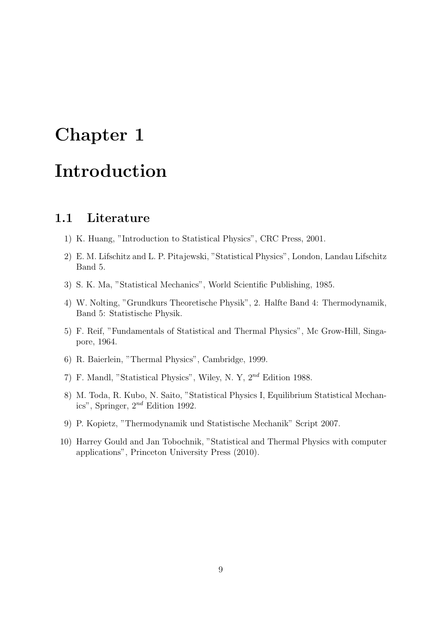# Chapter 1 Introduction

## 1.1 Literature

- 1) K. Huang, "Introduction to Statistical Physics", CRC Press, 2001.
- 2) E. M. Lifschitz and L. P. Pitajewski, "Statistical Physics", London, Landau Lifschitz Band 5.
- 3) S. K. Ma, "Statistical Mechanics", World Scientific Publishing, 1985.
- 4) W. Nolting, "Grundkurs Theoretische Physik", 2. Halfte Band 4: Thermodynamik, Band 5: Statistische Physik.
- 5) F. Reif, "Fundamentals of Statistical and Thermal Physics", Mc Grow-Hill, Singapore, 1964.
- 6) R. Baierlein, "Thermal Physics", Cambridge, 1999.
- 7) F. Mandl, "Statistical Physics", Wiley, N. Y, 2nd Edition 1988.
- 8) M. Toda, R. Kubo, N. Saito, "Statistical Physics I, Equilibrium Statistical Mechanics", Springer,  $2^{nd}$  Edition 1992.
- 9) P. Kopietz, "Thermodynamik und Statistische Mechanik" Script 2007.
- 10) Harrey Gould and Jan Tobochnik, "Statistical and Thermal Physics with computer applications", Princeton University Press (2010).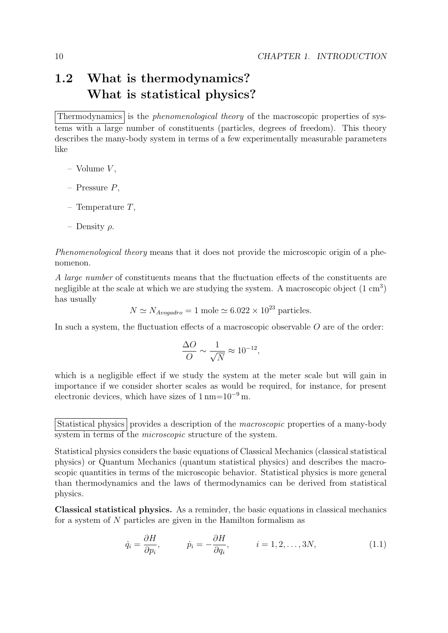# 1.2 What is thermodynamics? What is statistical physics?

Thermodynamics is the *phenomenological theory* of the macroscopic properties of systems with a large number of constituents (particles, degrees of freedom). This theory describes the many-body system in terms of a few experimentally measurable parameters like

– Volume  $V$ ,

- Pressure P,
- Temperature  $T$ ,
- Density  $\rho$ .

Phenomenological theory means that it does not provide the microscopic origin of a phenomenon.

A large number of constituents means that the fluctuation effects of the constituents are negligible at the scale at which we are studying the system. A macroscopic object  $(1 \text{ cm}^3)$ has usually

 $N \simeq N_{Avoqadro} = 1$  mole  $\simeq 6.022 \times 10^{23}$  particles.

In such a system, the fluctuation effects of a macroscopic observable  $O$  are of the order:

$$
\frac{\Delta O}{O} \sim \frac{1}{\sqrt{N}} \approx 10^{-12},
$$

which is a negligible effect if we study the system at the meter scale but will gain in importance if we consider shorter scales as would be required, for instance, for present electronic devices, which have sizes of  $1 \text{ nm} = 10^{-9} \text{ m}$ .

Classical statistical physics. As a reminder, the basic equations in classical mechanics for a system of N particles are given in the Hamilton formalism as

$$
\dot{q}_i = \frac{\partial H}{\partial p_i}, \qquad \dot{p}_i = -\frac{\partial H}{\partial q_i}, \qquad i = 1, 2, \dots, 3N,
$$
\n(1.1)

Statistical physics provides a description of the *macroscopic* properties of a many-body system in terms of the *microscopic* structure of the system.

Statistical physics considers the basic equations of Classical Mechanics (classical statistical physics) or Quantum Mechanics (quantum statistical physics) and describes the macroscopic quantities in terms of the microscopic behavior. Statistical physics is more general than thermodynamics and the laws of thermodynamics can be derived from statistical physics.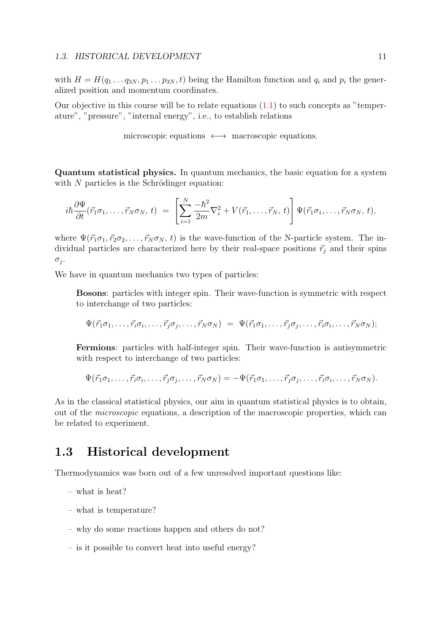#### 1.3. HISTORICAL DEVELOPMENT 11

with  $H = H(q_1 \ldots q_{3N}, p_1 \ldots p_{3N}, t)$  being the Hamilton function and  $q_i$  and  $p_i$  the generalized position and momentum coordinates.

Our objective in this course will be to relate equations  $(1.1)$  to such concepts as "temperature", "pressure", "internal energy", i.e., to establish relations

microscopic equations ←→ macroscopic equations.

Quantum statistical physics. In quantum mechanics, the basic equation for a system with  $N$  particles is the Schrödinger equation:

$$
i\hbar \frac{\partial \Psi}{\partial t}(\vec{r}_1 \sigma_1, \ldots, \vec{r}_N \sigma_N, t) = \left[ \sum_{i=1}^N \frac{-\hbar^2}{2m} \nabla_i^2 + V(\vec{r}_1, \ldots, \vec{r}_N, t) \right] \Psi(\vec{r}_1 \sigma_1, \ldots, \vec{r}_N \sigma_N, t),
$$

where  $\Psi(\vec{r}_1\sigma_1, \vec{r}_2\sigma_2, \ldots, \vec{r}_N\sigma_N, t)$  is the wave-function of the N-particle system. The individual particles are characterized here by their real-space positions  $\vec{r}_i$  and their spins  $\sigma_i$ .

We have in quantum mechanics two types of particles:

Bosons: particles with integer spin. Their wave-function is symmetric with respect to interchange of two particles:

$$
\Psi(\vec{r}_1\sigma_1,\ldots,\vec{r}_i\sigma_i,\ldots,\vec{r}_j\sigma_j,\ldots,\vec{r}_N\sigma_N) = \Psi(\vec{r}_1\sigma_1,\ldots,\vec{r}_j\sigma_j,\ldots,\vec{r}_i\sigma_i,\ldots,\vec{r}_N\sigma_N);
$$

Fermions: particles with half-integer spin. Their wave-function is antisymmetric with respect to interchange of two particles:

$$
\Psi(\vec{r}_1\sigma_1,\ldots,\vec{r}_i\sigma_i,\ldots,\vec{r}_j\sigma_j,\ldots,\vec{r}_N\sigma_N)=-\Psi(\vec{r}_1\sigma_1,\ldots,\vec{r}_j\sigma_j,\ldots,\vec{r}_i\sigma_i,\ldots,\vec{r}_N\sigma_N).
$$

As in the classical statistical physics, our aim in quantum statistical physics is to obtain, out of the microscopic equations, a description of the macroscopic properties, which can be related to experiment.

# 1.3 Historical development

Thermodynamics was born out of a few unresolved important questions like:

– what is heat?

- what is temperature?
- why do some reactions happen and others do not?
- is it possible to convert heat into useful energy?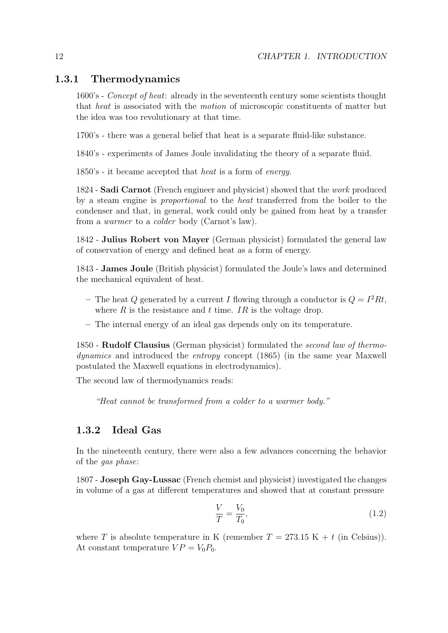#### 1.3.1 Thermodynamics

1600's - Concept of heat: already in the seventeenth century some scientists thought that heat is associated with the motion of microscopic constituents of matter but the idea was too revolutionary at that time.

1700's - there was a general belief that heat is a separate fluid-like substance.

1840's - experiments of James Joule invalidating the theory of a separate fluid.

1850's - it became accepted that heat is a form of energy.

1824 - Sadi Carnot (French engineer and physicist) showed that the work produced by a steam engine is proportional to the heat transferred from the boiler to the condenser and that, in general, work could only be gained from heat by a transfer from a warmer to a colder body (Carnot's law).

1842 - Julius Robert von Mayer (German physicist) formulated the general law of conservation of energy and defined heat as a form of energy.

1843 - James Joule (British physicist) formulated the Joule's laws and determined the mechanical equivalent of heat.

- The heat Q generated by a current I flowing through a conductor is  $Q = I^2 Rt$ , where  $R$  is the resistance and  $t$  time. IR is the voltage drop.
- The internal energy of an ideal gas depends only on its temperature.

1850 - Rudolf Clausius (German physicist) formulated the second law of thermodynamics and introduced the entropy concept (1865) (in the same year Maxwell postulated the Maxwell equations in electrodynamics).

The second law of thermodynamics reads:

"Heat cannot be transformed from a colder to a warmer body."

#### 1.3.2 Ideal Gas

In the nineteenth century, there were also a few advances concerning the behavior of the gas phase:

1807 - Joseph Gay-Lussac (French chemist and physicist) investigated the changes in volume of a gas at different temperatures and showed that at constant pressure

$$
\frac{V}{T} = \frac{V_0}{T_0},\tag{1.2}
$$

where T is absolute temperature in K (remember  $T = 273.15$  K + t (in Celsius)). At constant temperature  $VP = V_0 P_0$ .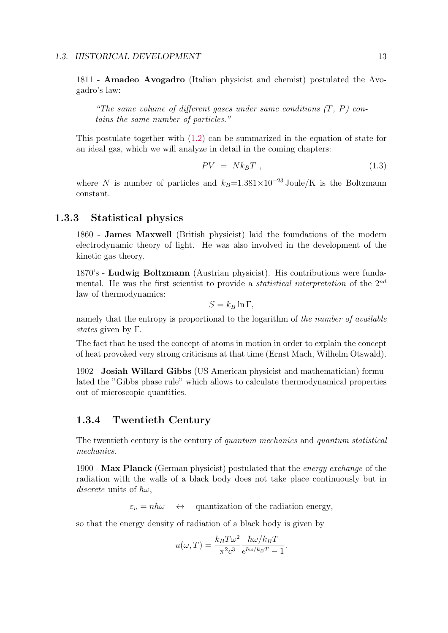#### 1.3. HISTORICAL DEVELOPMENT 13

1811 - Amadeo Avogadro (Italian physicist and chemist) postulated the Avogadro's law:

"The same volume of different gases under same conditions  $(T, P)$  contains the same number of particles."

This postulate together with (1.2) can be summarized in the equation of state for an ideal gas, which we will analyze in detail in the coming chapters:

$$
PV = Nk_B T \t{1.3}
$$

where N is number of particles and  $k_B=1.381\times10^{-23}$  Joule/K is the Boltzmann constant.

#### 1.3.3 Statistical physics

1860 - James Maxwell (British physicist) laid the foundations of the modern electrodynamic theory of light. He was also involved in the development of the kinetic gas theory.

1870's - Ludwig Boltzmann (Austrian physicist). His contributions were fundamental. He was the first scientist to provide a *statistical interpretation* of the  $2^{nd}$ law of thermodynamics:

$$
S = k_B \ln \Gamma,
$$

namely that the entropy is proportional to the logarithm of the number of available states given by  $\Gamma$ .

The fact that he used the concept of atoms in motion in order to explain the concept of heat provoked very strong criticisms at that time (Ernst Mach, Wilhelm Otswald).

1902 - Josiah Willard Gibbs (US American physicist and mathematician) formulated the "Gibbs phase rule" which allows to calculate thermodynamical properties out of microscopic quantities.

#### 1.3.4 Twentieth Century

The twentieth century is the century of *quantum mechanics* and *quantum statistical* mechanics.

1900 - Max Planck (German physicist) postulated that the energy exchange of the radiation with the walls of a black body does not take place continuously but in discrete units of  $\hbar\omega$ ,

 $\varepsilon_n = n\hbar\omega \quad \leftrightarrow \quad$  quantization of the radiation energy,

so that the energy density of radiation of a black body is given by

$$
u(\omega,T) = \frac{k_B T \omega^2}{\pi^2 c^3} \frac{\hbar \omega / k_B T}{e^{\hbar \omega / k_B T} - 1}.
$$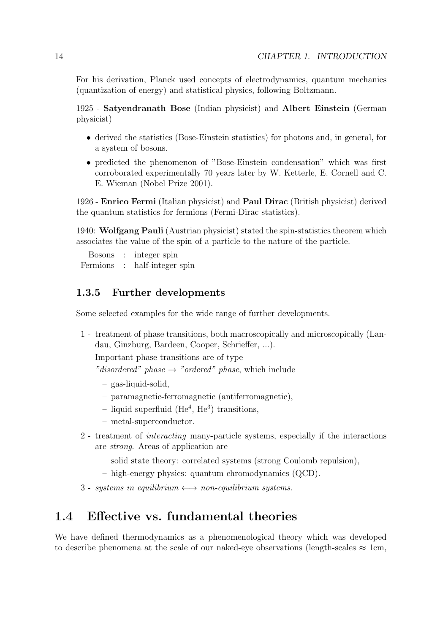For his derivation, Planck used concepts of electrodynamics, quantum mechanics (quantization of energy) and statistical physics, following Boltzmann.

1925 - Satyendranath Bose (Indian physicist) and Albert Einstein (German physicist)

- derived the statistics (Bose-Einstein statistics) for photons and, in general, for a system of bosons.
- predicted the phenomenon of "Bose-Einstein condensation" which was first corroborated experimentally 70 years later by W. Ketterle, E. Cornell and C. E. Wieman (Nobel Prize 2001).

1926 - Enrico Fermi (Italian physicist) and Paul Dirac (British physicist) derived the quantum statistics for fermions (Fermi-Dirac statistics).

1940: Wolfgang Pauli (Austrian physicist) stated the spin-statistics theorem which associates the value of the spin of a particle to the nature of the particle.

Bosons : integer spin Fermions : half-integer spin

### 1.3.5 Further developments

Some selected examples for the wide range of further developments.

1 - treatment of phase transitions, both macroscopically and microscopically (Landau, Ginzburg, Bardeen, Cooper, Schrieffer, ...).

Important phase transitions are of type

"disordered" phase  $\rightarrow$  "ordered" phase, which include

- $-$  gas-liquid-solid.
- paramagnetic-ferromagnetic (antiferromagnetic),
- liquid-superfluid  $(He<sup>4</sup>, He<sup>3</sup>)$  transitions.
- metal-superconductor.
- 2 treatment of interacting many-particle systems, especially if the interactions are strong. Areas of application are
	- solid state theory: correlated systems (strong Coulomb repulsion),
	- high-energy physics: quantum chromodynamics (QCD).
- 3 systems in equilibrium  $\longleftrightarrow$  non-equilibrium systems.

# 1.4 Effective vs. fundamental theories

We have defined thermodynamics as a phenomenological theory which was developed to describe phenomena at the scale of our naked-eye observations (length-scales  $\approx 1$ cm,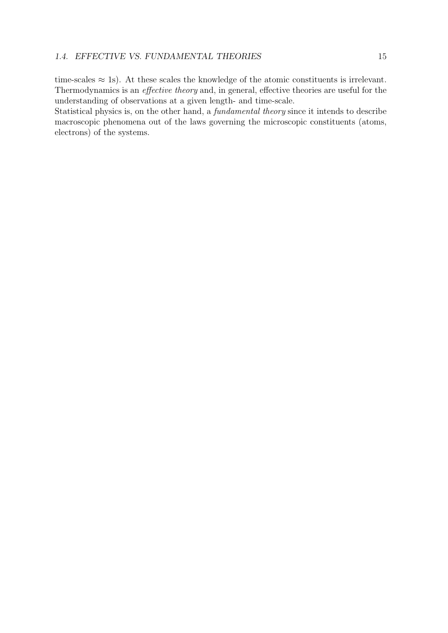time-scales  $\approx$  1s). At these scales the knowledge of the atomic constituents is irrelevant. Thermodynamics is an effective theory and, in general, effective theories are useful for the understanding of observations at a given length- and time-scale.

Statistical physics is, on the other hand, a fundamental theory since it intends to describe macroscopic phenomena out of the laws governing the microscopic constituents (atoms, electrons) of the systems.